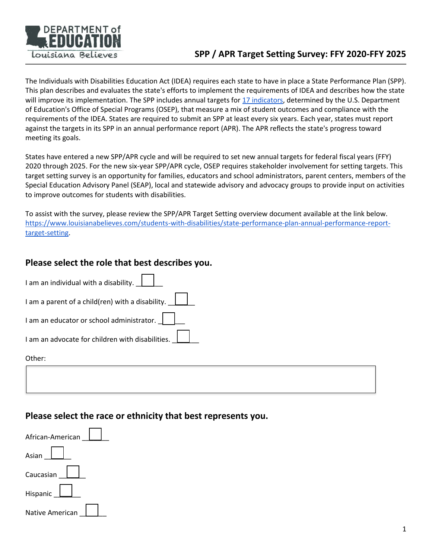

The Individuals with Disabilities Education Act (IDEA) requires each state to have in place a State Performance Plan (SPP). This plan describes and evaluates the state's efforts to implement the requirements of IDEA and describes how the state will improve its implementation. The SPP includes annual targets for [17 indicators,](https://ideadata.org/sites/default/files/media/documents/2020-10/58103_IDC_LmntdCrds.pdf) determined by the U.S. Department of Education's Office of Special Programs (OSEP), that measure a mix of student outcomes and compliance with the requirements of the IDEA. States are required to submit an SPP at least every six years. Each year, states must report against the targets in its SPP in an annual performance report (APR). The APR reflects the state's progress toward meeting its goals.

States have entered a new SPP/APR cycle and will be required to set new annual targets for federal fiscal years (FFY) 2020 through 2025. For the new six-year SPP/APR cycle, OSEP requires stakeholder involvement for setting targets. This target setting survey is an opportunity for families, educators and school administrators, parent centers, members of the Special Education Advisory Panel (SEAP), local and statewide advisory and advocacy groups to provide input on activities to improve outcomes for students with disabilities.

To assist with the survey, please review the SPP/APR Target Setting overview document available at the link below. [https://www.louisianabelieves.com/students-with-disabilities/state-performance-plan-annual-performance-report](https://www.louisianabelieves.com/students-with-disabilities/state-performance-plan-annual-performance-report-target-setting)[target-setting.](https://www.louisianabelieves.com/students-with-disabilities/state-performance-plan-annual-performance-report-target-setting)

### **Please select the role that best describes you.**

| I am an individual with a disability.                   |
|---------------------------------------------------------|
| I am a parent of a child(ren) with a disability. $\Box$ |
| I am an educator or school administrator.               |
| I am an advocate for children with disabilities.        |
| Other:                                                  |
|                                                         |

#### **Please select the race or ethnicity that best represents you.**

| African-American  |
|-------------------|
| Asian             |
| Caucasian         |
| Hispanic <b>L</b> |
| Native American   |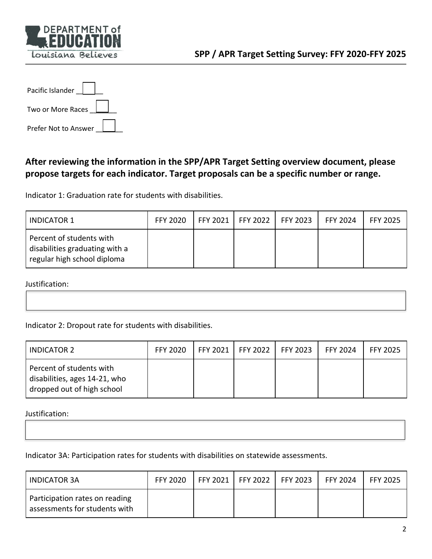

| Pacific Islander     |
|----------------------|
| Two or More Races    |
| Prefer Not to Answer |

### **After reviewing the information in the SPP/APR Target Setting overview document, please propose targets for each indicator. Target proposals can be a specific number or range.**

Indicator 1: Graduation rate for students with disabilities.

| <b>INDICATOR 1</b>                                                                        | <b>FFY 2020</b> | FFY 2021   FFY 2022   FFY 2023 | <b>FFY 2024</b> | <b>FFY 2025</b> |
|-------------------------------------------------------------------------------------------|-----------------|--------------------------------|-----------------|-----------------|
| Percent of students with<br>disabilities graduating with a<br>regular high school diploma |                 |                                |                 |                 |

Justification:

Indicator 2: Dropout rate for students with disabilities.

| INDICATOR 2                                                                             | <b>FFY 2020</b> | FFY 2021   FFY 2022   FFY 2023 | <b>FFY 2024</b> | <b>FFY 2025</b> |
|-----------------------------------------------------------------------------------------|-----------------|--------------------------------|-----------------|-----------------|
| Percent of students with<br>disabilities, ages 14-21, who<br>dropped out of high school |                 |                                |                 |                 |

Justification:

Indicator 3A: Participation rates for students with disabilities on statewide assessments.

| <b>INDICATOR 3A</b>                                             | <b>FFY 2020</b> |  | FFY 2021   FFY 2022   FFY 2023 | <b>FFY 2024</b> | <b>FFY 2025</b> |
|-----------------------------------------------------------------|-----------------|--|--------------------------------|-----------------|-----------------|
| Participation rates on reading<br>assessments for students with |                 |  |                                |                 |                 |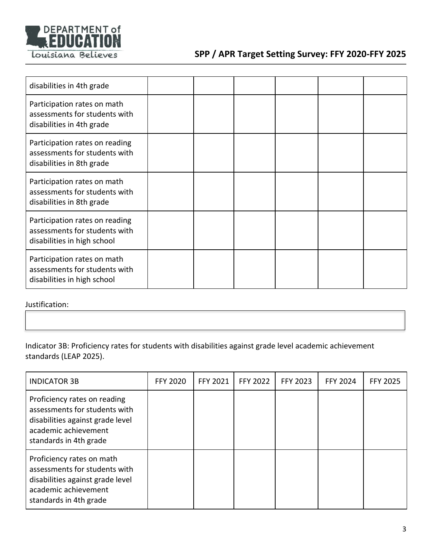

| disabilities in 4th grade                                                                      |  |  |  |
|------------------------------------------------------------------------------------------------|--|--|--|
| Participation rates on math<br>assessments for students with<br>disabilities in 4th grade      |  |  |  |
| Participation rates on reading<br>assessments for students with<br>disabilities in 8th grade   |  |  |  |
| Participation rates on math<br>assessments for students with<br>disabilities in 8th grade      |  |  |  |
| Participation rates on reading<br>assessments for students with<br>disabilities in high school |  |  |  |
| Participation rates on math<br>assessments for students with<br>disabilities in high school    |  |  |  |

Justification:

Indicator 3B: Proficiency rates for students with disabilities against grade level academic achievement standards (LEAP 2025).

| <b>INDICATOR 3B</b>                                                                                                                                 | <b>FFY 2020</b> | FFY 2021 | <b>FFY 2022</b> | <b>FFY 2023</b> | <b>FFY 2024</b> | <b>FFY 2025</b> |
|-----------------------------------------------------------------------------------------------------------------------------------------------------|-----------------|----------|-----------------|-----------------|-----------------|-----------------|
| Proficiency rates on reading<br>assessments for students with<br>disabilities against grade level<br>academic achievement<br>standards in 4th grade |                 |          |                 |                 |                 |                 |
| Proficiency rates on math<br>assessments for students with<br>disabilities against grade level<br>academic achievement<br>standards in 4th grade    |                 |          |                 |                 |                 |                 |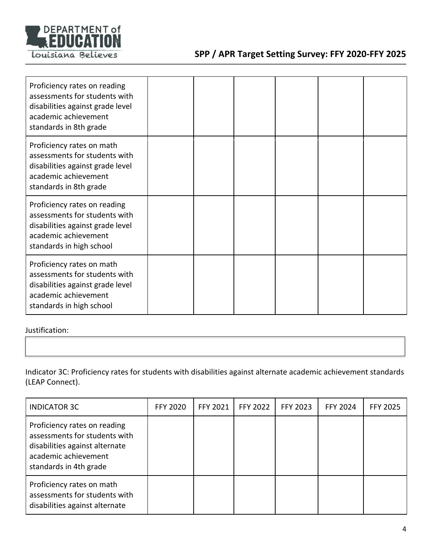

| Proficiency rates on reading<br>assessments for students with<br>disabilities against grade level<br>academic achievement<br>standards in 8th grade   |  |  |  |
|-------------------------------------------------------------------------------------------------------------------------------------------------------|--|--|--|
| Proficiency rates on math<br>assessments for students with<br>disabilities against grade level<br>academic achievement<br>standards in 8th grade      |  |  |  |
| Proficiency rates on reading<br>assessments for students with<br>disabilities against grade level<br>academic achievement<br>standards in high school |  |  |  |
| Proficiency rates on math<br>assessments for students with<br>disabilities against grade level<br>academic achievement<br>standards in high school    |  |  |  |

Justification:

Indicator 3C: Proficiency rates for students with disabilities against alternate academic achievement standards (LEAP Connect).

| <b>INDICATOR 3C</b>                                                                                                                               | <b>FFY 2020</b> | FFY 2021 | <b>FFY 2022</b> | <b>FFY 2023</b> | <b>FFY 2024</b> | <b>FFY 2025</b> |
|---------------------------------------------------------------------------------------------------------------------------------------------------|-----------------|----------|-----------------|-----------------|-----------------|-----------------|
| Proficiency rates on reading<br>assessments for students with<br>disabilities against alternate<br>academic achievement<br>standards in 4th grade |                 |          |                 |                 |                 |                 |
| Proficiency rates on math<br>assessments for students with<br>disabilities against alternate                                                      |                 |          |                 |                 |                 |                 |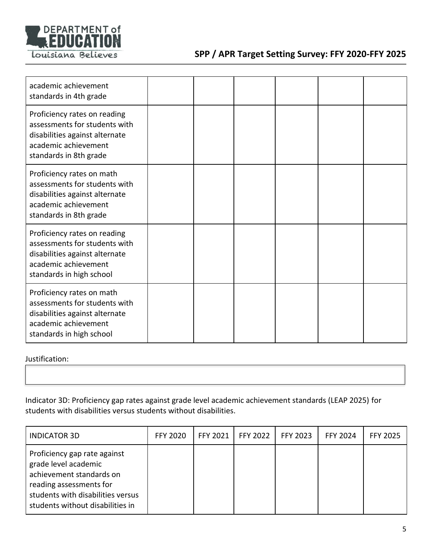

| academic achievement<br>standards in 4th grade                                                                                                      |  |  |  |
|-----------------------------------------------------------------------------------------------------------------------------------------------------|--|--|--|
| Proficiency rates on reading<br>assessments for students with<br>disabilities against alternate<br>academic achievement<br>standards in 8th grade   |  |  |  |
| Proficiency rates on math<br>assessments for students with<br>disabilities against alternate<br>academic achievement<br>standards in 8th grade      |  |  |  |
| Proficiency rates on reading<br>assessments for students with<br>disabilities against alternate<br>academic achievement<br>standards in high school |  |  |  |
| Proficiency rates on math<br>assessments for students with<br>disabilities against alternate<br>academic achievement<br>standards in high school    |  |  |  |

Justification:

Indicator 3D: Proficiency gap rates against grade level academic achievement standards (LEAP 2025) for students with disabilities versus students without disabilities.

| <b>INDICATOR 3D</b>                                                                                                                                                                  | <b>FFY 2020</b> | FFY 2021 | <b>FFY 2022</b> | <b>FFY 2023</b> | <b>FFY 2024</b> | <b>FFY 2025</b> |
|--------------------------------------------------------------------------------------------------------------------------------------------------------------------------------------|-----------------|----------|-----------------|-----------------|-----------------|-----------------|
| Proficiency gap rate against<br>grade level academic<br>achievement standards on<br>reading assessments for<br>students with disabilities versus<br>students without disabilities in |                 |          |                 |                 |                 |                 |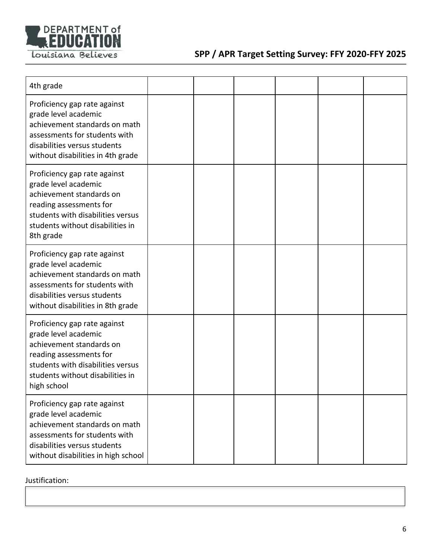

| 4th grade                                                                                                                                                                                           |  |  |  |
|-----------------------------------------------------------------------------------------------------------------------------------------------------------------------------------------------------|--|--|--|
| Proficiency gap rate against<br>grade level academic<br>achievement standards on math<br>assessments for students with<br>disabilities versus students<br>without disabilities in 4th grade         |  |  |  |
| Proficiency gap rate against<br>grade level academic<br>achievement standards on<br>reading assessments for<br>students with disabilities versus<br>students without disabilities in<br>8th grade   |  |  |  |
| Proficiency gap rate against<br>grade level academic<br>achievement standards on math<br>assessments for students with<br>disabilities versus students<br>without disabilities in 8th grade         |  |  |  |
| Proficiency gap rate against<br>grade level academic<br>achievement standards on<br>reading assessments for<br>students with disabilities versus<br>students without disabilities in<br>high school |  |  |  |
| Proficiency gap rate against<br>grade level academic<br>achievement standards on math<br>assessments for students with<br>disabilities versus students<br>without disabilities in high school       |  |  |  |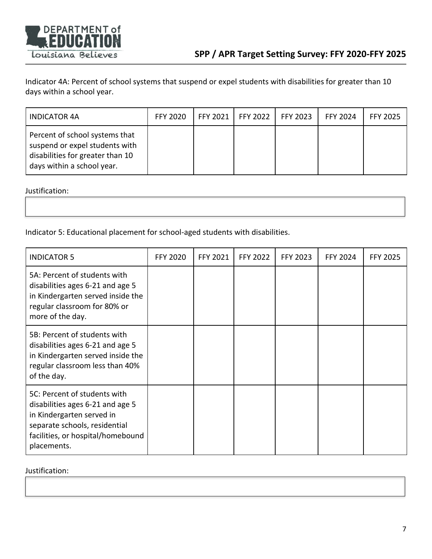

Indicator 4A: Percent of school systems that suspend or expel students with disabilities for greater than 10 days within a school year.

| INDICATOR 4A                                                                                                                       | <b>FFY 2020</b> | FFY 2021 1 | <b>FFY 2022</b> | <b>FFY 2023</b> | <b>FFY 2024</b> | <b>FFY 2025</b> |
|------------------------------------------------------------------------------------------------------------------------------------|-----------------|------------|-----------------|-----------------|-----------------|-----------------|
| Percent of school systems that<br>suspend or expel students with<br>disabilities for greater than 10<br>days within a school year. |                 |            |                 |                 |                 |                 |

Justification:

Indicator 5: Educational placement for school-aged students with disabilities.

| <b>INDICATOR 5</b>                                                                                                                                                                 | <b>FFY 2020</b> | FFY 2021 | <b>FFY 2022</b> | <b>FFY 2023</b> | <b>FFY 2024</b> | <b>FFY 2025</b> |
|------------------------------------------------------------------------------------------------------------------------------------------------------------------------------------|-----------------|----------|-----------------|-----------------|-----------------|-----------------|
| 5A: Percent of students with<br>disabilities ages 6-21 and age 5<br>in Kindergarten served inside the<br>regular classroom for 80% or<br>more of the day.                          |                 |          |                 |                 |                 |                 |
| 5B: Percent of students with<br>disabilities ages 6-21 and age 5<br>in Kindergarten served inside the<br>regular classroom less than 40%<br>of the day.                            |                 |          |                 |                 |                 |                 |
| 5C: Percent of students with<br>disabilities ages 6-21 and age 5<br>in Kindergarten served in<br>separate schools, residential<br>facilities, or hospital/homebound<br>placements. |                 |          |                 |                 |                 |                 |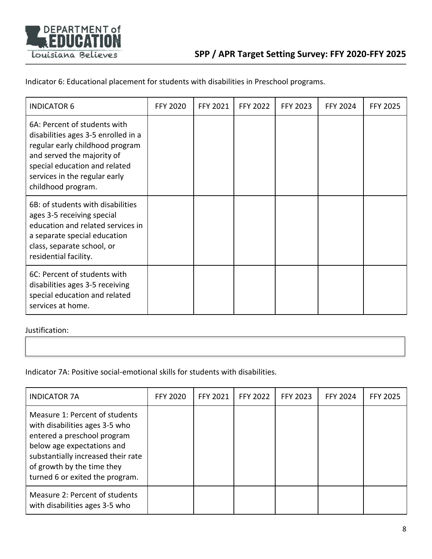

Indicator 6: Educational placement for students with disabilities in Preschool programs.

| <b>INDICATOR 6</b>                                                                                                                                                                                                           | <b>FFY 2020</b> | <b>FFY 2021</b> | <b>FFY 2022</b> | <b>FFY 2023</b> | <b>FFY 2024</b> | <b>FFY 2025</b> |
|------------------------------------------------------------------------------------------------------------------------------------------------------------------------------------------------------------------------------|-----------------|-----------------|-----------------|-----------------|-----------------|-----------------|
| 6A: Percent of students with<br>disabilities ages 3-5 enrolled in a<br>regular early childhood program<br>and served the majority of<br>special education and related<br>services in the regular early<br>childhood program. |                 |                 |                 |                 |                 |                 |
| 6B: of students with disabilities<br>ages 3-5 receiving special<br>education and related services in<br>a separate special education<br>class, separate school, or<br>residential facility.                                  |                 |                 |                 |                 |                 |                 |
| 6C: Percent of students with<br>disabilities ages 3-5 receiving<br>special education and related<br>services at home.                                                                                                        |                 |                 |                 |                 |                 |                 |

Justification:

Indicator 7A: Positive social-emotional skills for students with disabilities.

| <b>INDICATOR 7A</b>                                                                                                                                                                                                                  | <b>FFY 2020</b> | FFY 2021 | <b>FFY 2022</b> | <b>FFY 2023</b> | <b>FFY 2024</b> | <b>FFY 2025</b> |
|--------------------------------------------------------------------------------------------------------------------------------------------------------------------------------------------------------------------------------------|-----------------|----------|-----------------|-----------------|-----------------|-----------------|
| Measure 1: Percent of students<br>with disabilities ages 3-5 who<br>entered a preschool program<br>below age expectations and<br>substantially increased their rate<br>of growth by the time they<br>turned 6 or exited the program. |                 |          |                 |                 |                 |                 |
| Measure 2: Percent of students<br>with disabilities ages 3-5 who                                                                                                                                                                     |                 |          |                 |                 |                 |                 |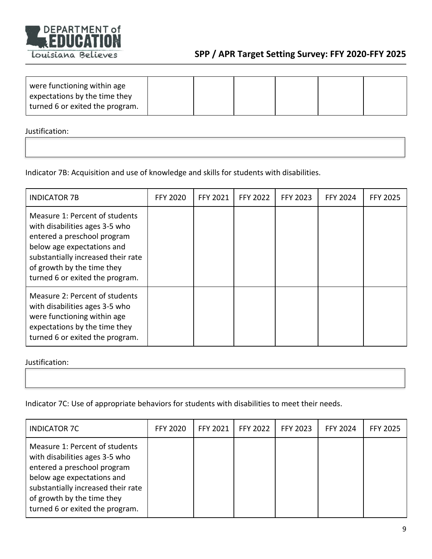

| were functioning within age     |  |  |  |
|---------------------------------|--|--|--|
| expectations by the time they   |  |  |  |
| turned 6 or exited the program. |  |  |  |

Justification:

Indicator 7B: Acquisition and use of knowledge and skills for students with disabilities.

| <b>INDICATOR 7B</b>                                                                                                                                                                                                                  | <b>FFY 2020</b> | FFY 2021 | <b>FFY 2022</b> | <b>FFY 2023</b> | <b>FFY 2024</b> | <b>FFY 2025</b> |
|--------------------------------------------------------------------------------------------------------------------------------------------------------------------------------------------------------------------------------------|-----------------|----------|-----------------|-----------------|-----------------|-----------------|
| Measure 1: Percent of students<br>with disabilities ages 3-5 who<br>entered a preschool program<br>below age expectations and<br>substantially increased their rate<br>of growth by the time they<br>turned 6 or exited the program. |                 |          |                 |                 |                 |                 |
| Measure 2: Percent of students<br>with disabilities ages 3-5 who<br>were functioning within age<br>expectations by the time they<br>turned 6 or exited the program.                                                                  |                 |          |                 |                 |                 |                 |

Justification:

Indicator 7C: Use of appropriate behaviors for students with disabilities to meet their needs.

| <b>INDICATOR 7C</b>                                                                                                                                                                                                                  | <b>FFY 2020</b> | FFY 2021 | <b>FFY 2022</b> | FFY 2023 | <b>FFY 2024</b> | <b>FFY 2025</b> |
|--------------------------------------------------------------------------------------------------------------------------------------------------------------------------------------------------------------------------------------|-----------------|----------|-----------------|----------|-----------------|-----------------|
| Measure 1: Percent of students<br>with disabilities ages 3-5 who<br>entered a preschool program<br>below age expectations and<br>substantially increased their rate<br>of growth by the time they<br>turned 6 or exited the program. |                 |          |                 |          |                 |                 |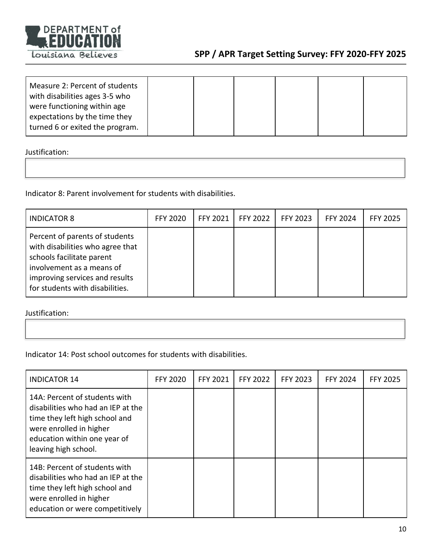

| Measure 2: Percent of students<br>with disabilities ages 3-5 who<br>were functioning within age<br>expectations by the time they |  |  |  |
|----------------------------------------------------------------------------------------------------------------------------------|--|--|--|
| turned 6 or exited the program.                                                                                                  |  |  |  |

Justification:

Indicator 8: Parent involvement for students with disabilities.

| <b>INDICATOR 8</b>                                                                                                                                                                                | <b>FFY 2020</b> | <b>FFY 2021</b> | <b>FFY 2022</b> | FFY 2023 | <b>FFY 2024</b> | <b>FFY 2025</b> |
|---------------------------------------------------------------------------------------------------------------------------------------------------------------------------------------------------|-----------------|-----------------|-----------------|----------|-----------------|-----------------|
| Percent of parents of students<br>with disabilities who agree that<br>schools facilitate parent<br>involvement as a means of<br>improving services and results<br>for students with disabilities. |                 |                 |                 |          |                 |                 |

| Indicator 14: Post school outcomes for students with disabilities. |
|--------------------------------------------------------------------|
|--------------------------------------------------------------------|

| <b>INDICATOR 14</b>                                                                                                                                                                      | <b>FFY 2020</b> | FFY 2021 | <b>FFY 2022</b> | FFY 2023 | <b>FFY 2024</b> | <b>FFY 2025</b> |
|------------------------------------------------------------------------------------------------------------------------------------------------------------------------------------------|-----------------|----------|-----------------|----------|-----------------|-----------------|
| 14A: Percent of students with<br>disabilities who had an IEP at the<br>time they left high school and<br>were enrolled in higher<br>education within one year of<br>leaving high school. |                 |          |                 |          |                 |                 |
| 14B: Percent of students with<br>disabilities who had an IEP at the<br>time they left high school and<br>were enrolled in higher<br>education or were competitively                      |                 |          |                 |          |                 |                 |